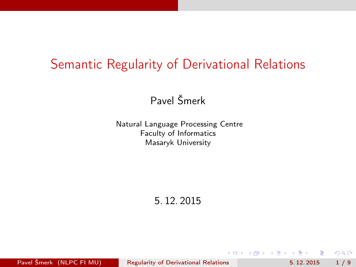#### <span id="page-0-0"></span>Semantic Regularity of Derivational Relations

Pavel Šmerk

Natural Language Processing Centre Faculty of Informatics Masaryk University

5. 12. 2015

Pavel Šmerk (NLPC FI MU) [Regularity of Derivational Relations](#page-8-0) 5.12.2015 1/9

 $+$ 

Box 4

 $QQ$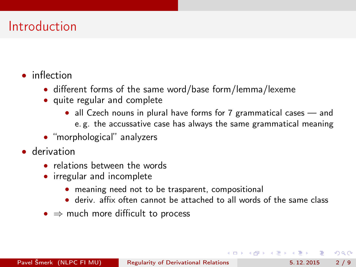# <span id="page-1-0"></span>Introduction

- inflection
	- different forms of the same word/base form/lemma/lexeme
	- quite regular and complete
		- all Czech nouns in plural have forms for 7 grammatical cases and e. g. the accussative case has always the same grammatical meaning
	- "morphological" analyzers
- derivation
	- relations between the words
	- irregular and incomplete
		- meaning need not to be trasparent, compositional
		- deriv. affix often cannot be attached to all words of the same class
	- $\bullet \Rightarrow$  much more difficult to process

 $200$ 

- 4 重 8 - 4 重 8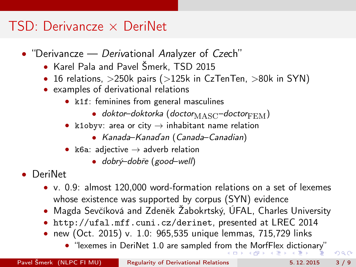## <span id="page-2-0"></span> $TSD: Derivancze \times DeriNet$

- "Derivancze Derivational Analyzer of Czech"
	- Karel Pala and Pavel Šmerk, TSD 2015
	- 16 relations,  $>$ 250k pairs ( $>$ 125k in CzTenTen,  $>$ 80k in SYN)
	- examples of derivational relations
		- k1f: feminines from general masculines
			- doktor–doktorka (doctor $_{\text{MASC}}$ –doctor $_{\text{FEM}}$ )
		- k1obyv: area or city  $\rightarrow$  inhabitant name relation
			- Kanada–Kanaďan (Canada–Canadian)
		- k6a: adjective  $\rightarrow$  adverb relation
			- dobrý–dobře (good–well)
- DeriNet
	- v. 0.9: almost 120,000 word-formation relations on a set of lexemes whose existence was supported by corpus (SYN) evidence
	- Magda Sevčíková and Zdeněk Žabokrtský, ÚFAL, Charles University
	- <http://ufal.mff.cuni.cz/derinet>, presented at LREC 2014
	- new (Oct. 2015) v. 1.0: 965,535 unique lemmas, 715,729 links
		- "lexemes in DeriNet 1.0 are sampled fr[om](#page-1-0) t[he](#page-3-0)[Mo](#page-2-0)[rf](#page-3-0)[Fle](#page-0-0)[x d](#page-8-0)[ict](#page-0-0)[ion](#page-8-0)[ar](#page-0-0)[y"](#page-8-0)

 $\Omega$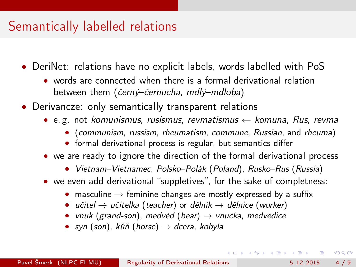#### <span id="page-3-0"></span>Semantically labelled relations

- DeriNet: relations have no explicit labels, words labelled with PoS
	- words are connected when there is a formal derivational relation between them (černý–černucha, mdlý–mdloba)
- Derivancze: only semantically transparent relations
	- e.g. not komunismus, rusismus, revmatismus  $\leftarrow$  komuna, Rus, revma
		- (communism, russism, rheumatism, commune, Russian, and rheuma)
		- formal derivational process is regular, but semantics differ
	- we are ready to ignore the direction of the formal derivational process
		- Vietnam–Vietnamec, Polsko–Polák (Poland), Rusko–Rus (Russia)
	- we even add derivational "suppletives", for the sake of completness:
		- masculine  $\rightarrow$  feminine changes are mostly expressed by a suffix
		- učitel  $\rightarrow$  učitelka (teacher) or dělník  $\rightarrow$  dělnice (worker)
		- vnuk (grand-son), medvěd (bear)  $\rightarrow$  vnučka, medvědice
		- syn (son), kůň (horse)  $\rightarrow$  dcera, kobyla

 $\Omega$ 

( ロ ) ( 何 ) ( ヨ ) ( ヨ )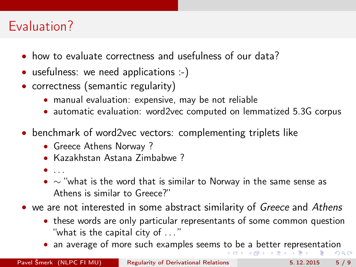# <span id="page-4-0"></span>Evaluation?

- how to evaluate correctness and usefulness of our data?
- usefulness: we need applications :-)
- correctness (semantic regularity)
	- manual evaluation: expensive, may be not reliable
	- automatic evaluation: word2vec computed on lemmatized 5.3G corpus
- benchmark of word2vec vectors: complementing triplets like
	- Greece Athens Norway?
	- Kazakhstan Astana Zimbabwe ?
	- $\bullet$  ...
	- $\sim$  "what is the word that is similar to Norway in the same sense as Athens is similar to Greece?"
- we are not interested in some abstract similarity of Greece and Athens
	- these words are only particular representants of some common question "what is the capital city of . . . "
	- an average of more such examples seems [to](#page-3-0) [be](#page-5-0) [a](#page-3-0) [b](#page-4-0)[et](#page-5-0)[te](#page-0-0)[r re](#page-8-0)[pr](#page-0-0)[ese](#page-8-0)[nt](#page-0-0)[atio](#page-8-0)n

 $\Omega$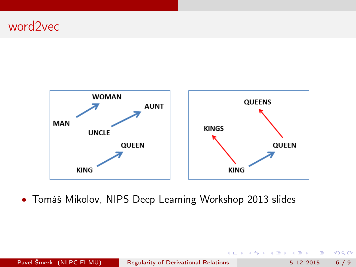#### <span id="page-5-0"></span>word2vec Linguistic Regularities in Word Vector Space



• Tomáš Mikolov, NIPS Deep Learning Workshop 2013 slides

Pavel Šmerk (NLPC FI MU) [Regularity of Derivational Relations](#page-0-0) 5. 12. 2015 6 / 9

4 0 8

- 60

э

医阿里氏阿里氏

 $299$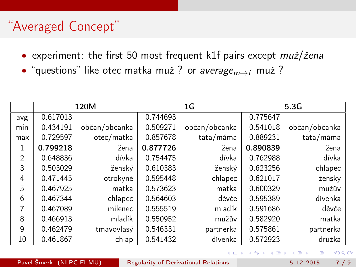# <span id="page-6-0"></span>"Averaged Concept"

- experiment: the first 50 most frequent k1f pairs except muž/žena
- "questions" like otec matka muž ? or average $_{m\rightarrow f}$  muž ?

|     |          | 120M          |          | 1G            | 5.3G     |               |  |
|-----|----------|---------------|----------|---------------|----------|---------------|--|
| avg | 0.617013 |               | 0.744693 |               | 0.775647 |               |  |
| min | 0.434191 | občan/občanka | 0.509271 | občan/občanka | 0.541018 | občan/občanka |  |
| max | 0.729597 | otec/matka    | 0.857678 | táta/máma     | 0.889231 | táta/máma     |  |
| 1   | 0.799218 | žena          | 0.877726 | žena          | 0.890839 | žena          |  |
| 2   | 0.648836 | dívka         | 0.754475 | dívka         | 0.762988 | dívka         |  |
| 3   | 0.503029 | ženský        | 0.610383 | ženský        | 0.623256 | chlapec       |  |
| 4   | 0.471445 | otrokyně      | 0.595448 | chlapec       | 0.621017 | ženský        |  |
| 5   | 0.467925 | matka         | 0.573623 | matka         | 0.600329 | mužův         |  |
| 6   | 0.467344 | chlapec       | 0.564603 | děvče         | 0.595389 | dívenka       |  |
| 7   | 0.467089 | milenec       | 0.555519 | mladík        | 0.591686 | děvče         |  |
| 8   | 0.466913 | mladík        | 0.550952 | mužův         | 0.582920 | matka         |  |
| 9   | 0.462479 | tmavovlasý    | 0.546331 | partnerka     | 0.575861 | partnerka     |  |
| 10  | 0.461867 | chlap         | 0.541432 | dívenka       | 0.572923 | družka        |  |

4 D F

 $QQ$ 

医阿里氏阿里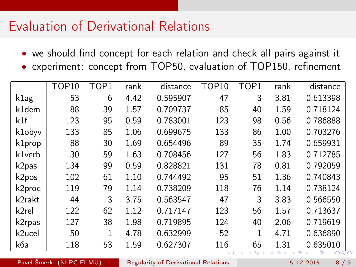## <span id="page-7-0"></span>Evaluation of Derivational Relations

- we should find concept for each relation and check all pairs against it
- experiment: concept from TOP50, evaluation of TOP150, refinement

|                   | <b>TOP10</b> | TOP1 | rank | distance | TOP <sub>10</sub> | TOP1          | rank | distance        |
|-------------------|--------------|------|------|----------|-------------------|---------------|------|-----------------|
| k <sub>1</sub> ag | 53           | 6    | 4.42 | 0.595907 | 47                | 3             | 3.81 | 0.613398        |
| k1dem             | 88           | 39   | 1.57 | 0.709737 | 85                | 40            | 1.59 | 0.718124        |
| k1f               | 123          | 95   | 0.59 | 0.783001 | 123               | 98            | 0.56 | 0.786888        |
| k1obyv            | 133          | 85   | 1.06 | 0.699675 | 133               | 86            | 1.00 | 0.703276        |
| k1prop            | 88           | 30   | 1.69 | 0.654496 | 89                | 35            | 1.74 | 0.659931        |
| k1verb            | 130          | 59   | 1.63 | 0.708456 | 127               | 56            | 1.83 | 0.712785        |
| k2pas             | 134          | 99   | 0.59 | 0.828821 | 131               | 78            | 0.81 | 0.792059        |
| k2pos             | 102          | 61   | 1.10 | 0.744492 | 95                | 51            | 1.36 | 0.740843        |
| k2proc            | 119          | 79   | 1.14 | 0.738209 | 118               | 76            | 1.14 | 0.738124        |
| k2rakt            | 44           | 3    | 3.75 | 0.563547 | 47                | 3             | 3.83 | 0.566550        |
| k2rel             | 122          | 62   | 1.12 | 0.717147 | 123               | 56            | 1.57 | 0.713637        |
| k2rpas            | 127          | 38   | 1.98 | 0.719895 | 124               | 40            | 2.06 | 0.719619        |
| k2ucel            | 50           | 1    | 4.78 | 0.632999 | 52                | 1             | 4.71 | 0.636890        |
| k6a               | 118          | 53   | 1.59 | 0.627307 | 116               | 65<br>۰<br>п» | 1.31 | 0.635010<br>কাল |